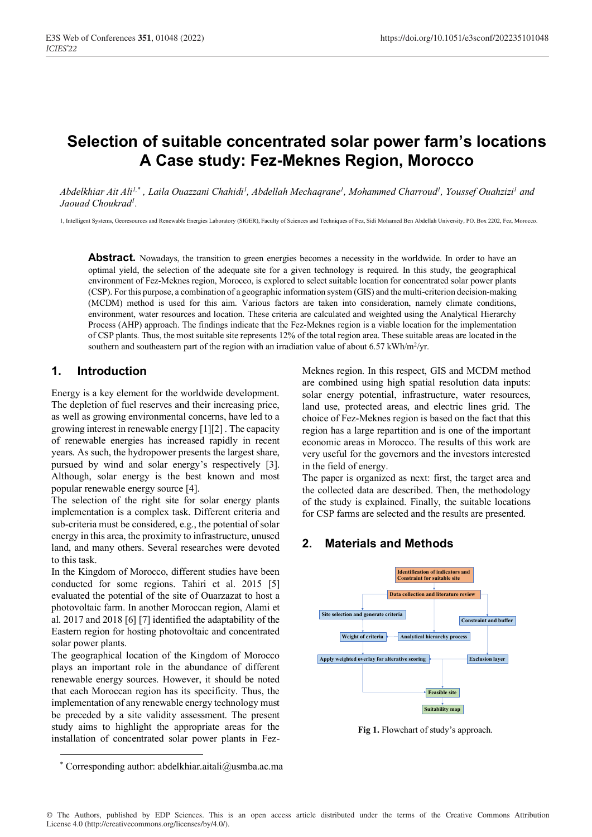# **Selection of suitable concentrated solar power farm's locations A Case study: Fez-Meknes Region, Morocco**

Abdelkhiar Ait Ali<sup>1,\*</sup>, Laila Ouazzani Chahidi<sup>1</sup>, Abdellah Mechaqrane<sup>1</sup>, Mohammed Charroud<sup>1</sup>, Youssef Ouahzizi<sup>1</sup> and *Jaouad Choukrad1 .*

1, Intelligent Systems, Georesources and Renewable Energies Laboratory (SIGER), Faculty of Sciences and Techniques of Fez, Sidi Mohamed Ben Abdellah University, PO. Box 2202, Fez, Morocco.

**Abstract.** Nowadays, the transition to green energies becomes a necessity in the worldwide. In order to have an optimal yield, the selection of the adequate site for a given technology is required. In this study, the geographical environment of Fez-Meknes region, Morocco, is explored to select suitable location for concentrated solar power plants (CSP). For this purpose, a combination of a geographic information system (GIS) and the multi-criterion decision-making (MCDM) method is used for this aim. Various factors are taken into consideration, namely climate conditions, environment, water resources and location. These criteria are calculated and weighted using the Analytical Hierarchy Process (AHP) approach. The findings indicate that the Fez-Meknes region is a viable location for the implementation of CSP plants. Thus, the most suitable site represents 12% of the total region area. These suitable areas are located in the southern and southeastern part of the region with an irradiation value of about 6.57 kWh/m<sup>2</sup>/yr.

### **1. Introduction**

Energy is a key element for the worldwide development. The depletion of fuel reserves and their increasing price, as well as growing environmental concerns, have led to a growing interest in renewable energy [1][2] . The capacity of renewable energies has increased rapidly in recent years. As such, the hydropower presents the largest share, pursued by wind and solar energy's respectively [3]. Although, solar energy is the best known and most popular renewable energy source [4].

The selection of the right site for solar energy plants implementation is a complex task. Different criteria and sub-criteria must be considered, e.g., the potential of solar energy in this area, the proximity to infrastructure, unused land, and many others. Several researches were devoted to this task.

In the Kingdom of Morocco, different studies have been conducted for some regions. Tahiri et al. 2015 [5] evaluated the potential of the site of Ouarzazat to host a photovoltaic farm. In another Moroccan region, Alami et al. 2017 and 2018 [6] [7] identified the adaptability of the Eastern region for hosting photovoltaic and concentrated solar power plants.

The geographical location of the Kingdom of Morocco plays an important role in the abundance of different renewable energy sources. However, it should be noted that each Moroccan region has its specificity. Thus, the implementation of any renewable energy technology must be preceded by a site validity assessment. The present study aims to highlight the appropriate areas for the installation of concentrated solar power plants in FezMeknes region. In this respect, GIS and MCDM method are combined using high spatial resolution data inputs: solar energy potential, infrastructure, water resources, land use, protected areas, and electric lines grid. The choice of Fez-Meknes region is based on the fact that this region has a large repartition and is one of the important economic areas in Morocco. The results of this work are very useful for the governors and the investors interested in the field of energy.

The paper is organized as next: first, the target area and the collected data are described. Then, the methodology of the study is explained. Finally, the suitable locations for CSP farms are selected and the results are presented.

### **2. Materials and Methods**



**Fig 1.** Flowchart of study's approach.

<sup>\*</sup> Corresponding author: abdelkhiar.aitali@usmba.ac.ma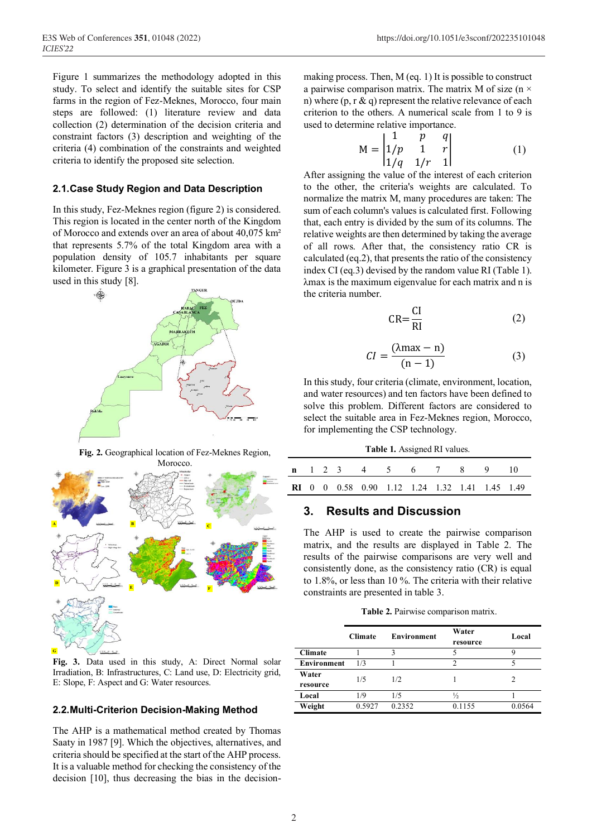Figure 1 summarizes the methodology adopted in this study. To select and identify the suitable sites for CSP farms in the region of Fez-Meknes, Morocco, four main steps are followed: (1) literature review and data collection (2) determination of the decision criteria and constraint factors (3) description and weighting of the criteria (4) combination of the constraints and weighted criteria to identify the proposed site selection.

#### **2.1.Case Study Region and Data Description**

In this study, Fez-Meknes region (figure 2) is considered. This region is located in the center north of the Kingdom of Morocco and extends over an area of about 40,075 km² that represents 5.7% of the total Kingdom area with a population density of 105.7 inhabitants per square kilometer. Figure 3 is a graphical presentation of the data used in this study [8].



**Fig. 2.** Geographical location of Fez-Meknes Region,



**Fig. 3.** Data used in this study, A: Direct Normal solar Irradiation, B: Infrastructures, C: Land use, D: Electricity grid, E: Slope, F: Aspect and G: Water resources.

#### **2.2.Multi-Criterion Decision-Making Method**

The AHP is a mathematical method created by Thomas Saaty in 1987 [9]. Which the objectives, alternatives, and criteria should be specified at the start of the AHP process. It is a valuable method for checking the consistency of the decision [10], thus decreasing the bias in the decisionmaking process. Then, M (eq. 1) It is possible to construct a pairwise comparison matrix. The matrix M of size ( $n \times$ n) where  $(p, r \& q)$  represent the relative relevance of each criterion to the others. A numerical scale from 1 to 9 is used to determine relative importance.

$$
M = \begin{vmatrix} 1 & p & q \\ 1/p & 1 & r \\ 1/q & 1/r & 1 \end{vmatrix}
$$
 (1)

After assigning the value of the interest of each criterion to the other, the criteria's weights are calculated. To normalize the matrix M, many procedures are taken: The sum of each column's values is calculated first. Following that, each entry is divided by the sum of its columns. The relative weights are then determined by taking the average of all rows. After that, the consistency ratio CR is calculated (eq.2), that presents the ratio of the consistency index CI (eq.3) devised by the random value RI (Table 1). λmax is the maximum eigenvalue for each matrix and n is the criteria number.

$$
CR = \frac{CI}{RI}
$$
 (2)

$$
CI = \frac{(\lambda \max - n)}{(n - 1)}
$$
 (3)

In this study, four criteria (climate, environment, location, and water resources) and ten factors have been defined to solve this problem. Different factors are considered to select the suitable area in Fez-Meknes region, Morocco, for implementing the CSP technology.

**Table 1.** Assigned RI values.

|  |  | <b>n</b> 1 2 3 4 5 6 7 8 9 10                         |  |  |  |
|--|--|-------------------------------------------------------|--|--|--|
|  |  | <b>RI</b> 0 0 0.58 0.90 1.12 1.24 1.32 1.41 1.45 1.49 |  |  |  |

### **3. Results and Discussion**

The AHP is used to create the pairwise comparison matrix, and the results are displayed in Table 2. The results of the pairwise comparisons are very well and consistently done, as the consistency ratio (CR) is equal to 1.8%, or less than 10 %. The criteria with their relative constraints are presented in table 3.

**Table 2.** Pairwise comparison matrix.

|                    | <b>Climate</b> | <b>Environment</b> | Water         | Local  |
|--------------------|----------------|--------------------|---------------|--------|
|                    |                |                    | resource      |        |
| <b>Climate</b>     |                |                    |               |        |
| <b>Environment</b> | 1/3            |                    | $\mathcal{D}$ |        |
| Water              | 1/5            | 1/2.               |               |        |
| resource           |                |                    |               |        |
| Local              | 1/9            | 1/5                | ⅓             |        |
| Weight             | 0.5927         | 0.2352             | 0.1155        | 0.0564 |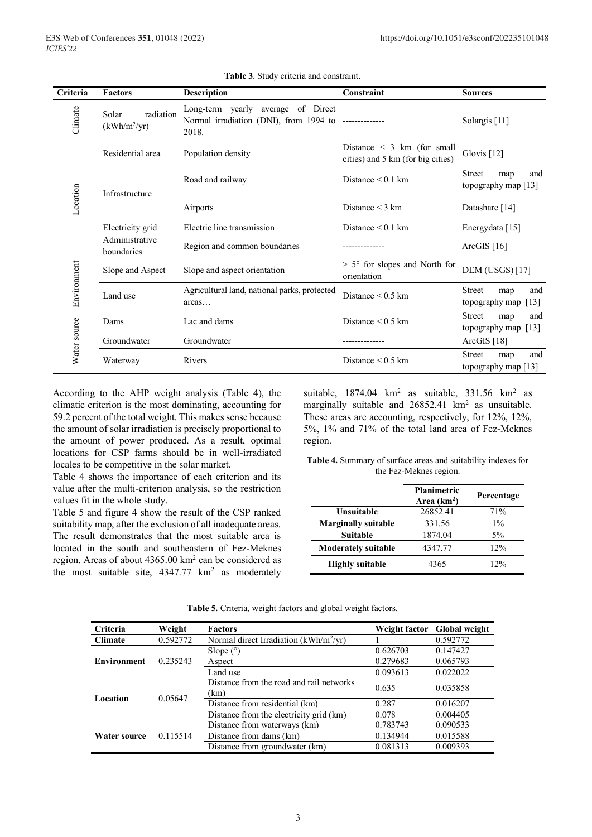| Criteria     | <b>Factors</b>                       | <b>Description</b>                                                                                      | Constraint                                                           | <b>Sources</b>                                                   |
|--------------|--------------------------------------|---------------------------------------------------------------------------------------------------------|----------------------------------------------------------------------|------------------------------------------------------------------|
| Climate      | Solar<br>radiation<br>$(kWh/m^2/yr)$ | Long-term yearly<br>average of Direct<br>Normal irradiation (DNI), from 1994 to --------------<br>2018. |                                                                      | Solargis <sup>[11]</sup>                                         |
|              | Residential area                     | Population density                                                                                      | Distance $\leq$ 3 km (for small<br>cities) and 5 km (for big cities) | Glovis [12]                                                      |
| Location     | Infrastructure                       | Road and railway                                                                                        | Distance $\leq 0.1$ km                                               | <b>Street</b><br>and<br>map<br>topography map [13]               |
|              |                                      | Airports                                                                                                | Distance $\leq$ 3 km                                                 | Datashare [14]                                                   |
|              | Electricity grid                     | Electric line transmission                                                                              | Distance $< 0.1$ km                                                  | Energydata [15]                                                  |
|              | Administrative<br>boundaries         | Region and common boundaries                                                                            |                                                                      | ArcGIS $[16]$                                                    |
|              | Slope and Aspect                     | Slope and aspect orientation                                                                            | $> 5^{\circ}$ for slopes and North for<br>orientation                | <b>DEM (USGS)[17]</b>                                            |
| Environment  | Land use                             | Agricultural land, national parks, protected<br>areas                                                   | Distance $\leq 0.5$ km                                               | <b>Street</b><br>and<br>map<br>topography map<br>$[13]$          |
|              | Dams                                 | Lac and dams                                                                                            | Distance $\leq 0.5$ km                                               | <b>Street</b><br>and<br>map<br>topography map $\lceil 13 \rceil$ |
|              | Groundwater                          | Groundwater                                                                                             |                                                                      | ArcGIS $[18]$                                                    |
| Water source | Waterway                             | Rivers                                                                                                  | Distance $\leq 0.5$ km                                               | <b>Street</b><br>and<br>map<br>topography map [13]               |

**Table 3**. Study criteria and constraint.

According to the AHP weight analysis (Table 4), the climatic criterion is the most dominating, accounting for 59.2 percent of the total weight. This makes sense because the amount of solar irradiation is precisely proportional to the amount of power produced. As a result, optimal locations for CSP farms should be in well-irradiated locales to be competitive in the solar market.

Table 4 shows the importance of each criterion and its value after the multi-criterion analysis, so the restriction values fit in the whole study.

Table 5 and figure 4 show the result of the CSP ranked suitability map, after the exclusion of all inadequate areas. The result demonstrates that the most suitable area is located in the south and southeastern of Fez-Meknes region. Areas of about 4365.00 km2 can be considered as the most suitable site,  $4347.77 \text{ km}^2$  as moderately

suitable,  $1874.04 \text{ km}^2$  as suitable,  $331.56 \text{ km}^2$  as marginally suitable and  $26852.41 \text{ km}^2$  as unsuitable. These areas are accounting, respectively, for 12%, 12%, 5%, 1% and 71% of the total land area of Fez-Meknes region.

**Table 4.** Summary of surface areas and suitability indexes for the Fez-Meknes region.

|                            | <b>Planimetric</b><br>Area $(km2)$ | Percentage |
|----------------------------|------------------------------------|------------|
| Unsuitable                 | 26852.41                           | 71%        |
| <b>Marginally suitable</b> | 331.56                             | $1\%$      |
| <b>Suitable</b>            | 1874.04                            | $5\%$      |
| <b>Moderately suitable</b> | 4347.77                            | 12%        |
| <b>Highly suitable</b>     | 4365                               | 12%        |

|  | Table 5. Criteria, weight factors and global weight factors. |  |  |  |  |  |
|--|--------------------------------------------------------------|--|--|--|--|--|
|--|--------------------------------------------------------------|--|--|--|--|--|

| <b>Criteria</b>    | Weight   | <b>Factors</b>                                   | Weight factor | <b>Global weight</b> |
|--------------------|----------|--------------------------------------------------|---------------|----------------------|
| <b>Climate</b>     | 0.592772 | Normal direct Irradiation ( $kWh/m^2/yr$ )       |               | 0.592772             |
|                    |          | Slope $(°)$                                      | 0.626703      | 0.147427             |
| <b>Environment</b> | 0.235243 | Aspect                                           | 0.279683      | 0.065793             |
|                    |          | Land use                                         | 0.093613      | 0.022022             |
|                    | 0.05647  | Distance from the road and rail networks<br>(km) | 0.635         | 0.035858             |
| Location           |          | Distance from residential (km)                   | 0.287         | 0.016207             |
|                    |          | Distance from the electricity grid (km)          | 0.078         | 0.004405             |
|                    |          | Distance from waterways (km)                     | 0.783743      | 0.090533             |
| Water source       | 0.115514 | Distance from dams (km)                          | 0.134944      | 0.015588             |
|                    |          | Distance from groundwater (km)                   | 0.081313      | 0.009393             |